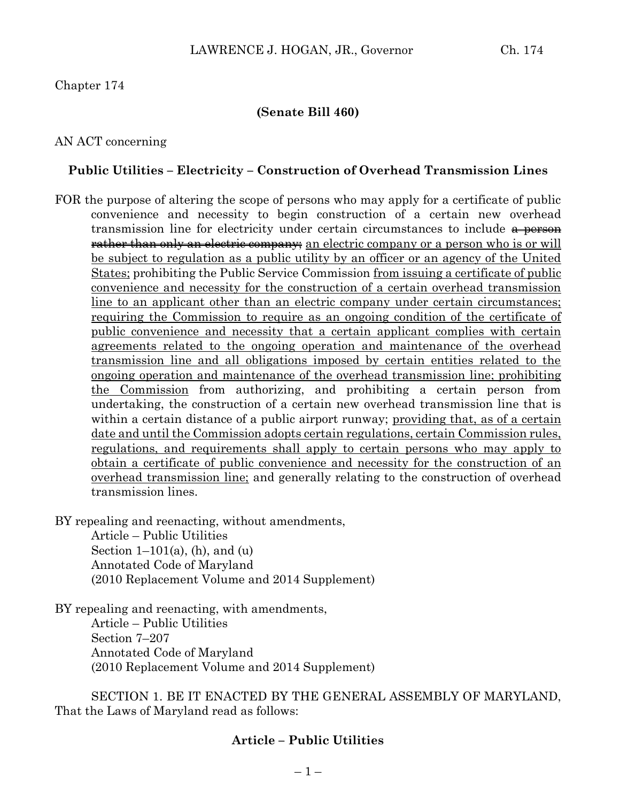## Chapter 174

### **(Senate Bill 460)**

## AN ACT concerning

### **Public Utilities – Electricity – Construction of Overhead Transmission Lines**

FOR the purpose of altering the scope of persons who may apply for a certificate of public convenience and necessity to begin construction of a certain new overhead transmission line for electricity under certain circumstances to include  $\frac{a}{b}$  person **rather than only an electric company;** an electric company or a person who is or will be subject to regulation as a public utility by an officer or an agency of the United States; prohibiting the Public Service Commission from issuing a certificate of public convenience and necessity for the construction of a certain overhead transmission line to an applicant other than an electric company under certain circumstances; requiring the Commission to require as an ongoing condition of the certificate of public convenience and necessity that a certain applicant complies with certain agreements related to the ongoing operation and maintenance of the overhead transmission line and all obligations imposed by certain entities related to the ongoing operation and maintenance of the overhead transmission line; prohibiting the Commission from authorizing, and prohibiting a certain person from undertaking, the construction of a certain new overhead transmission line that is within a certain distance of a public airport runway; providing that, as of a certain date and until the Commission adopts certain regulations, certain Commission rules, regulations, and requirements shall apply to certain persons who may apply to obtain a certificate of public convenience and necessity for the construction of an overhead transmission line; and generally relating to the construction of overhead transmission lines.

BY repealing and reenacting, without amendments,

Article – Public Utilities Section  $1-101(a)$ , (h), and (u) Annotated Code of Maryland (2010 Replacement Volume and 2014 Supplement)

BY repealing and reenacting, with amendments, Article – Public Utilities Section 7–207 Annotated Code of Maryland (2010 Replacement Volume and 2014 Supplement)

SECTION 1. BE IT ENACTED BY THE GENERAL ASSEMBLY OF MARYLAND, That the Laws of Maryland read as follows:

## **Article – Public Utilities**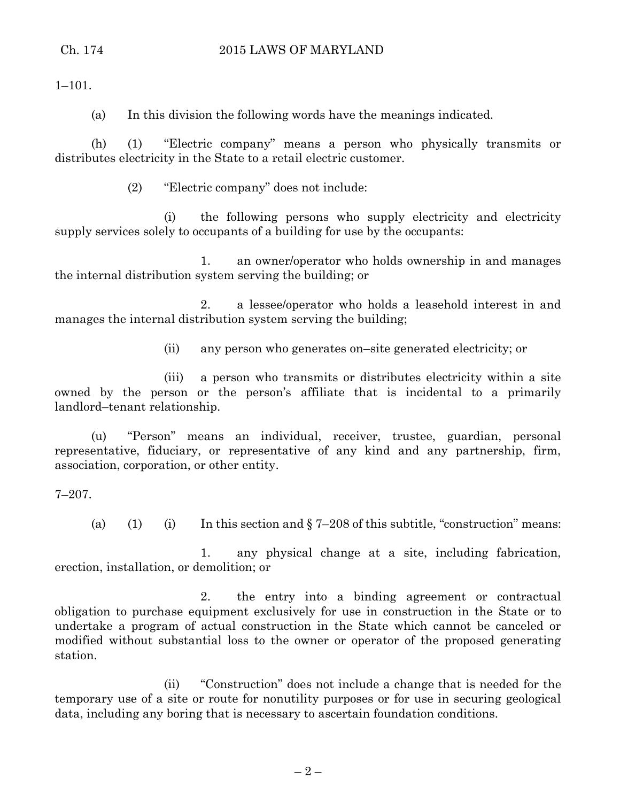$1-101$ .

(a) In this division the following words have the meanings indicated.

(h) (1) "Electric company" means a person who physically transmits or distributes electricity in the State to a retail electric customer.

(2) "Electric company" does not include:

(i) the following persons who supply electricity and electricity supply services solely to occupants of a building for use by the occupants:

1. an owner/operator who holds ownership in and manages the internal distribution system serving the building; or

2. a lessee/operator who holds a leasehold interest in and manages the internal distribution system serving the building;

(ii) any person who generates on–site generated electricity; or

(iii) a person who transmits or distributes electricity within a site owned by the person or the person's affiliate that is incidental to a primarily landlord–tenant relationship.

(u) "Person" means an individual, receiver, trustee, guardian, personal representative, fiduciary, or representative of any kind and any partnership, firm, association, corporation, or other entity.

7–207.

(a) (1) (i) In this section and  $\S 7-208$  of this subtitle, "construction" means:

1. any physical change at a site, including fabrication, erection, installation, or demolition; or

2. the entry into a binding agreement or contractual obligation to purchase equipment exclusively for use in construction in the State or to undertake a program of actual construction in the State which cannot be canceled or modified without substantial loss to the owner or operator of the proposed generating station.

(ii) "Construction" does not include a change that is needed for the temporary use of a site or route for nonutility purposes or for use in securing geological data, including any boring that is necessary to ascertain foundation conditions.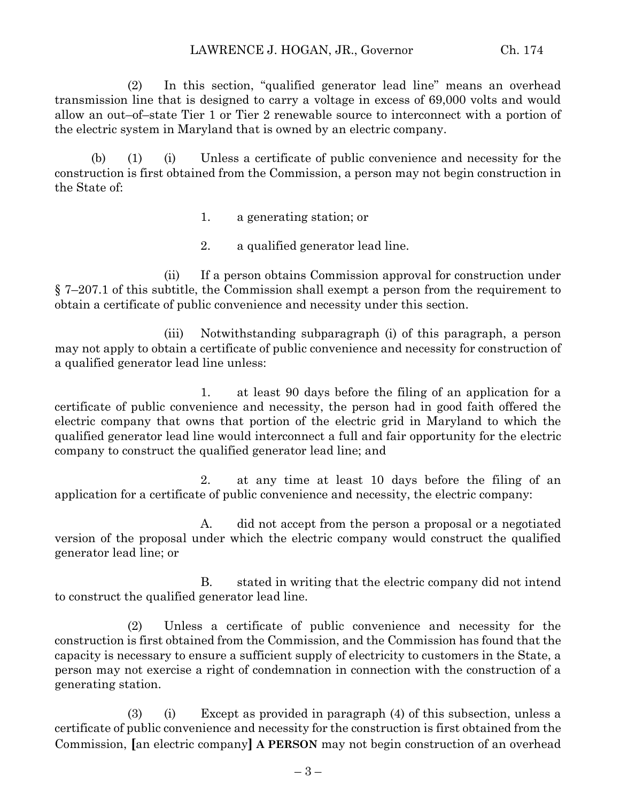(2) In this section, "qualified generator lead line" means an overhead transmission line that is designed to carry a voltage in excess of 69,000 volts and would allow an out–of–state Tier 1 or Tier 2 renewable source to interconnect with a portion of the electric system in Maryland that is owned by an electric company.

(b) (1) (i) Unless a certificate of public convenience and necessity for the construction is first obtained from the Commission, a person may not begin construction in the State of:

- 1. a generating station; or
- 2. a qualified generator lead line.

(ii) If a person obtains Commission approval for construction under § 7–207.1 of this subtitle, the Commission shall exempt a person from the requirement to obtain a certificate of public convenience and necessity under this section.

(iii) Notwithstanding subparagraph (i) of this paragraph, a person may not apply to obtain a certificate of public convenience and necessity for construction of a qualified generator lead line unless:

1. at least 90 days before the filing of an application for a certificate of public convenience and necessity, the person had in good faith offered the electric company that owns that portion of the electric grid in Maryland to which the qualified generator lead line would interconnect a full and fair opportunity for the electric company to construct the qualified generator lead line; and

2. at any time at least 10 days before the filing of an application for a certificate of public convenience and necessity, the electric company:

A. did not accept from the person a proposal or a negotiated version of the proposal under which the electric company would construct the qualified generator lead line; or

B. stated in writing that the electric company did not intend to construct the qualified generator lead line.

(2) Unless a certificate of public convenience and necessity for the construction is first obtained from the Commission, and the Commission has found that the capacity is necessary to ensure a sufficient supply of electricity to customers in the State, a person may not exercise a right of condemnation in connection with the construction of a generating station.

(3) (i) Except as provided in paragraph (4) of this subsection, unless a certificate of public convenience and necessity for the construction is first obtained from the Commission, **[**an electric company**] A PERSON** may not begin construction of an overhead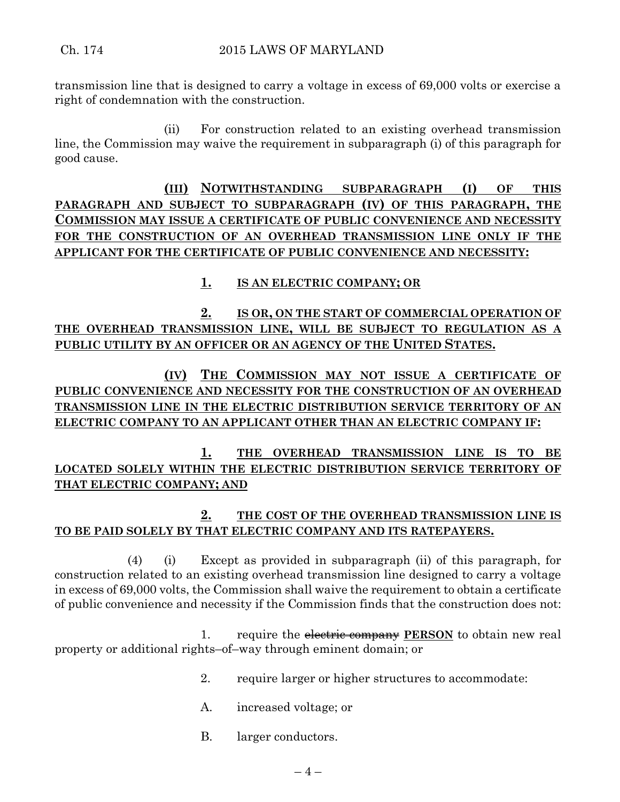transmission line that is designed to carry a voltage in excess of 69,000 volts or exercise a right of condemnation with the construction.

(ii) For construction related to an existing overhead transmission line, the Commission may waive the requirement in subparagraph (i) of this paragraph for good cause.

**(III) NOTWITHSTANDING SUBPARAGRAPH (I) OF THIS PARAGRAPH AND SUBJECT TO SUBPARAGRAPH (IV) OF THIS PARAGRAPH, THE COMMISSION MAY ISSUE A CERTIFICATE OF PUBLIC CONVENIENCE AND NECESSITY FOR THE CONSTRUCTION OF AN OVERHEAD TRANSMISSION LINE ONLY IF THE APPLICANT FOR THE CERTIFICATE OF PUBLIC CONVENIENCE AND NECESSITY:**

## **1. IS AN ELECTRIC COMPANY; OR**

**2. IS OR, ON THE START OF COMMERCIAL OPERATION OF THE OVERHEAD TRANSMISSION LINE, WILL BE SUBJECT TO REGULATION AS A PUBLIC UTILITY BY AN OFFICER OR AN AGENCY OF THE UNITED STATES.**

**(IV) THE COMMISSION MAY NOT ISSUE A CERTIFICATE OF PUBLIC CONVENIENCE AND NECESSITY FOR THE CONSTRUCTION OF AN OVERHEAD TRANSMISSION LINE IN THE ELECTRIC DISTRIBUTION SERVICE TERRITORY OF AN ELECTRIC COMPANY TO AN APPLICANT OTHER THAN AN ELECTRIC COMPANY IF:**

**1. THE OVERHEAD TRANSMISSION LINE IS TO BE LOCATED SOLELY WITHIN THE ELECTRIC DISTRIBUTION SERVICE TERRITORY OF THAT ELECTRIC COMPANY; AND**

# **2. THE COST OF THE OVERHEAD TRANSMISSION LINE IS TO BE PAID SOLELY BY THAT ELECTRIC COMPANY AND ITS RATEPAYERS.**

(4) (i) Except as provided in subparagraph (ii) of this paragraph, for construction related to an existing overhead transmission line designed to carry a voltage in excess of 69,000 volts, the Commission shall waive the requirement to obtain a certificate of public convenience and necessity if the Commission finds that the construction does not:

1. require the electric company **PERSON** to obtain new real property or additional rights–of–way through eminent domain; or

- 2. require larger or higher structures to accommodate:
- A. increased voltage; or
- B. larger conductors.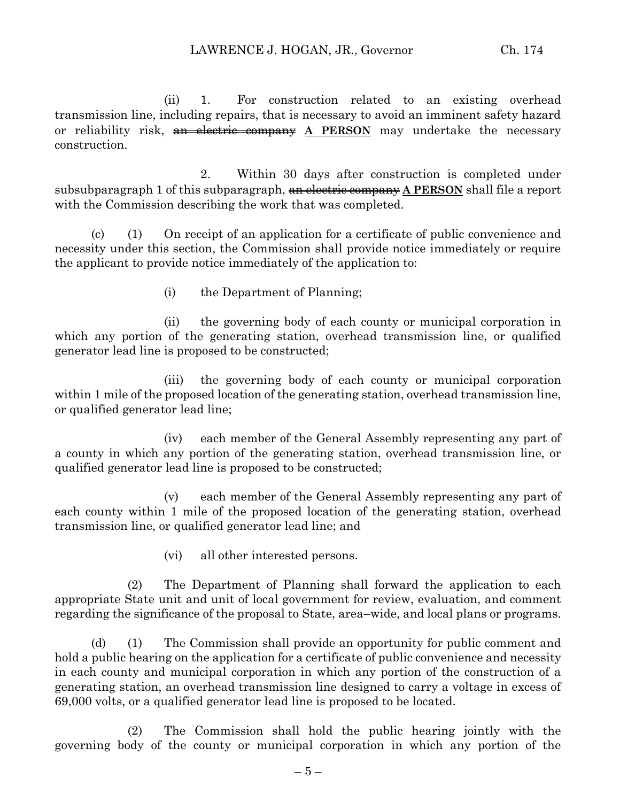(ii) 1. For construction related to an existing overhead transmission line, including repairs, that is necessary to avoid an imminent safety hazard or reliability risk, an electric company **A PERSON** may undertake the necessary construction.

2. Within 30 days after construction is completed under subsubparagraph 1 of this subparagraph, an electric company **A PERSON** shall file a report with the Commission describing the work that was completed.

(c) (1) On receipt of an application for a certificate of public convenience and necessity under this section, the Commission shall provide notice immediately or require the applicant to provide notice immediately of the application to:

(i) the Department of Planning;

(ii) the governing body of each county or municipal corporation in which any portion of the generating station, overhead transmission line, or qualified generator lead line is proposed to be constructed;

(iii) the governing body of each county or municipal corporation within 1 mile of the proposed location of the generating station, overhead transmission line, or qualified generator lead line;

(iv) each member of the General Assembly representing any part of a county in which any portion of the generating station, overhead transmission line, or qualified generator lead line is proposed to be constructed;

(v) each member of the General Assembly representing any part of each county within 1 mile of the proposed location of the generating station, overhead transmission line, or qualified generator lead line; and

(vi) all other interested persons.

(2) The Department of Planning shall forward the application to each appropriate State unit and unit of local government for review, evaluation, and comment regarding the significance of the proposal to State, area–wide, and local plans or programs.

(d) (1) The Commission shall provide an opportunity for public comment and hold a public hearing on the application for a certificate of public convenience and necessity in each county and municipal corporation in which any portion of the construction of a generating station, an overhead transmission line designed to carry a voltage in excess of 69,000 volts, or a qualified generator lead line is proposed to be located.

(2) The Commission shall hold the public hearing jointly with the governing body of the county or municipal corporation in which any portion of the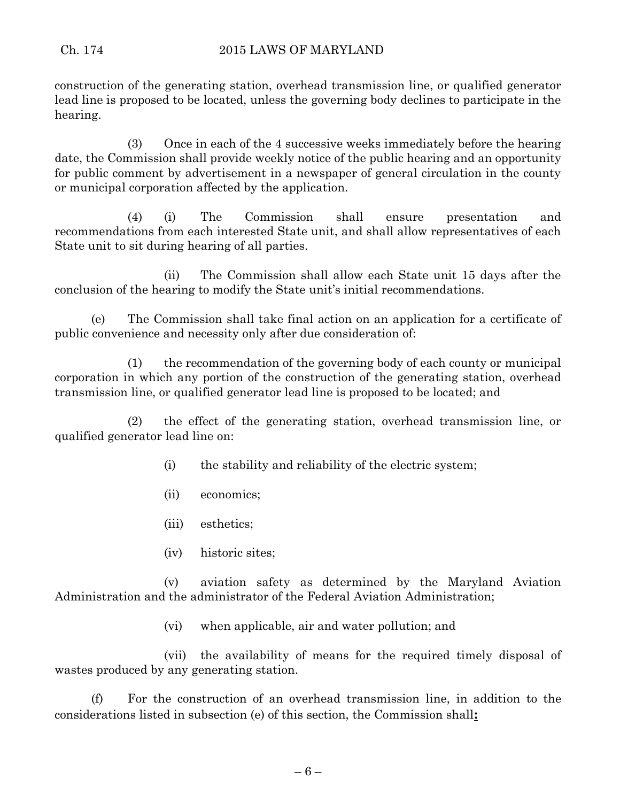construction of the generating station, overhead transmission line, or qualified generator lead line is proposed to be located, unless the governing body declines to participate in the hearing.

(3) Once in each of the 4 successive weeks immediately before the hearing date, the Commission shall provide weekly notice of the public hearing and an opportunity for public comment by advertisement in a newspaper of general circulation in the county or municipal corporation affected by the application.

(4) (i) The Commission shall ensure presentation and recommendations from each interested State unit, and shall allow representatives of each State unit to sit during hearing of all parties.

(ii) The Commission shall allow each State unit 15 days after the conclusion of the hearing to modify the State unit's initial recommendations.

(e) The Commission shall take final action on an application for a certificate of public convenience and necessity only after due consideration of:

(1) the recommendation of the governing body of each county or municipal corporation in which any portion of the construction of the generating station, overhead transmission line, or qualified generator lead line is proposed to be located; and

(2) the effect of the generating station, overhead transmission line, or qualified generator lead line on:

- (i) the stability and reliability of the electric system;
- (ii) economics;
- (iii) esthetics;
- (iv) historic sites;

(v) aviation safety as determined by the Maryland Aviation Administration and the administrator of the Federal Aviation Administration;

(vi) when applicable, air and water pollution; and

(vii) the availability of means for the required timely disposal of wastes produced by any generating station.

(f) For the construction of an overhead transmission line, in addition to the considerations listed in subsection (e) of this section, the Commission shall**:**